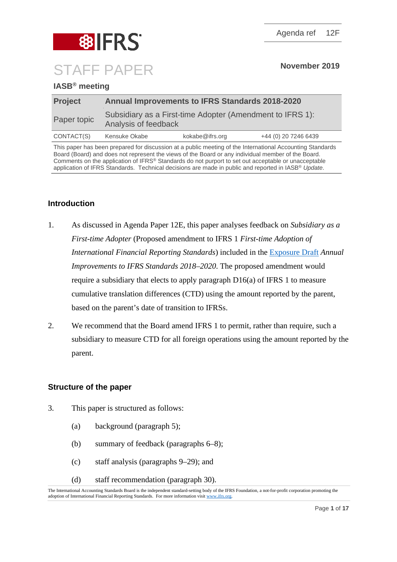

## **IASB® meeting**

| <b>Project</b> | <b>Annual Improvements to IFRS Standards 2018-2020</b>                            |                 |                      |
|----------------|-----------------------------------------------------------------------------------|-----------------|----------------------|
| Paper topic    | Subsidiary as a First-time Adopter (Amendment to IFRS 1):<br>Analysis of feedback |                 |                      |
| CONTACT(S)     | Kensuke Okabe                                                                     | kokabe@ifrs.org | +44 (0) 20 7246 6439 |

This paper has been prepared for discussion at a public meeting of the International Accounting Standards Board (Board) and does not represent the views of the Board or any individual member of the Board. Comments on the application of IFRS® Standards do not purport to set out acceptable or unacceptable application of IFRS Standards. Technical decisions are made in public and reported in IASB® *Update*.

## **Introduction**

- 1. As discussed in Agenda Paper 12E, this paper analyses feedback on *Subsidiary as a First-time Adopter* (Proposed amendment to IFRS 1 *First-time Adoption of International Financial Reporting Standards*) included in the [Exposure Draft](https://www.ifrs.org/-/media/project/annual-improvements-2018-2020/ed-annual-improvements-2018-2020.pdf) *Annual Improvements to IFRS Standards 2018–2020*. The proposed amendment would require a subsidiary that elects to apply paragraph D16(a) of IFRS 1 to measure cumulative translation differences (CTD) using the amount reported by the parent, based on the parent's date of transition to IFRSs.
- 2. We recommend that the Board amend IFRS 1 to permit, rather than require, such a subsidiary to measure CTD for all foreign operations using the amount reported by the parent.

## **Structure of the paper**

- 3. This paper is structured as follows:
	- (a) background (paragraph [5\)](#page-1-0);
	- (b) summary of feedback (paragraphs [6–](#page-2-0)[8\)](#page-2-1);
	- (c) staff analysis (paragraphs [9](#page-2-2)[–29\)](#page-9-0); and
	- (d) staff recommendation (paragraph [30\)](#page-10-0).

The International Accounting Standards Board is the independent standard-setting body of the IFRS Foundation, a not-for-profit corporation promoting the adoption of International Financial Reporting Standards. For more information visi[t www.ifrs.org.](http://www.ifrs.org/)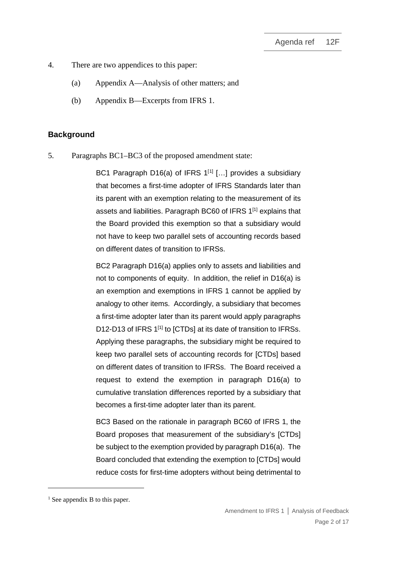- 4. There are two appendices to this paper:
	- (a) Appendix A—Analysis of other matters; and
	- (b) Appendix B—Excerpts from IFRS 1.

## **Background**

<span id="page-1-0"></span>5. Paragraphs BC1–BC3 of the proposed amendment state:

BC1 Paragraph D16(a) of IFRS  $1^{[1]}$  $1^{[1]}$  $1^{[1]}$  [...] provides a subsidiary that becomes a first-time adopter of IFRS Standards later than its parent with an exemption relating to the measurement of its assets and liabilities. Paragraph BC60 of IFRS 1<sup>[1]</sup> explains that the Board provided this exemption so that a subsidiary would not have to keep two parallel sets of accounting records based on different dates of transition to IFRSs.

BC2 Paragraph D16(a) applies only to assets and liabilities and not to components of equity. In addition, the relief in D16(a) is an exemption and exemptions in IFRS 1 cannot be applied by analogy to other items. Accordingly, a subsidiary that becomes a first-time adopter later than its parent would apply paragraphs D12-D13 of IFRS 1<sup>[1]</sup> to [CTDs] at its date of transition to IFRSs. Applying these paragraphs, the subsidiary might be required to keep two parallel sets of accounting records for [CTDs] based on different dates of transition to IFRSs. The Board received a request to extend the exemption in paragraph D16(a) to cumulative translation differences reported by a subsidiary that becomes a first-time adopter later than its parent.

BC3 Based on the rationale in paragraph BC60 of IFRS 1, the Board proposes that measurement of the subsidiary's [CTDs] be subject to the exemption provided by paragraph D16(a). The Board concluded that extending the exemption to [CTDs] would reduce costs for first-time adopters without being detrimental to

<span id="page-1-1"></span> $<sup>1</sup>$  See appendix B to this paper.</sup>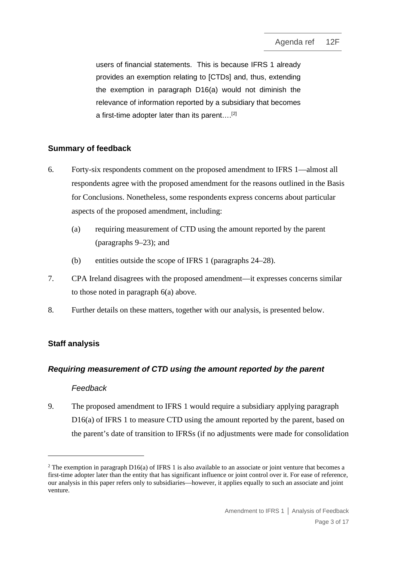users of financial statements. This is because IFRS 1 already provides an exemption relating to [CTDs] and, thus, extending the exemption in paragraph D16(a) would not diminish the relevance of information reported by a subsidiary that becomes a first-time adopter later than its parent….[[2](#page-2-4)]

# **Summary of feedback**

- <span id="page-2-0"></span>6. Forty-six respondents comment on the proposed amendment to IFRS 1—almost all respondents agree with the proposed amendment for the reasons outlined in the Basis for Conclusions. Nonetheless, some respondents express concerns about particular aspects of the proposed amendment, including:
	- (a) requiring measurement of CTD using the amount reported by the parent (paragraphs [9–](#page-2-2)[23\)](#page-8-0); and
	- (b) entities outside the scope of IFRS 1 (paragraphs [24](#page-8-1)[–28\)](#page-9-1).
- <span id="page-2-3"></span>7. CPA Ireland disagrees with the proposed amendment—it expresses concerns similar to those noted in paragraph [6\(a\)](#page-2-3) above.
- <span id="page-2-1"></span>8. Further details on these matters, together with our analysis, is presented below.

# **Staff analysis**

# *Requiring measurement of CTD using the amount reported by the parent*

## *Feedback*

<span id="page-2-2"></span>9. The proposed amendment to IFRS 1 would require a subsidiary applying paragraph D16(a) of IFRS 1 to measure CTD using the amount reported by the parent, based on the parent's date of transition to IFRSs (if no adjustments were made for consolidation

<span id="page-2-4"></span><sup>&</sup>lt;sup>2</sup> The exemption in paragraph D16(a) of IFRS 1 is also available to an associate or joint venture that becomes a first-time adopter later than the entity that has significant influence or joint control over it. For ease of reference, our analysis in this paper refers only to subsidiaries—however, it applies equally to such an associate and joint venture.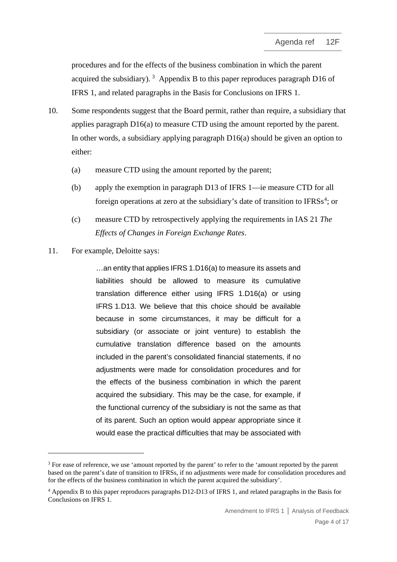procedures and for the effects of the business combination in which the parent acquired the subsidiary).<sup>[3](#page-3-0)</sup> Appendix B to this paper reproduces paragraph D16 of IFRS 1, and related paragraphs in the Basis for Conclusions on IFRS 1.

- 10. Some respondents suggest that the Board permit, rather than require, a subsidiary that applies paragraph D16(a) to measure CTD using the amount reported by the parent. In other words, a subsidiary applying paragraph D16(a) should be given an option to either:
	- (a) measure CTD using the amount reported by the parent;
	- (b) apply the exemption in paragraph D13 of IFRS 1—ie measure CTD for all foreign operations at zero at the subsidiary's date of transition to IFRSs<sup>[4](#page-3-1)</sup>; or
	- (c) measure CTD by retrospectively applying the requirements in IAS 21 *The Effects of Changes in Foreign Exchange Rates*.
- 11. For example, Deloitte says:

…an entity that applies IFRS 1.D16(a) to measure its assets and liabilities should be allowed to measure its cumulative translation difference either using IFRS 1.D16(a) or using IFRS 1.D13. We believe that this choice should be available because in some circumstances, it may be difficult for a subsidiary (or associate or joint venture) to establish the cumulative translation difference based on the amounts included in the parent's consolidated financial statements, if no adjustments were made for consolidation procedures and for the effects of the business combination in which the parent acquired the subsidiary. This may be the case, for example, if the functional currency of the subsidiary is not the same as that of its parent. Such an option would appear appropriate since it would ease the practical difficulties that may be associated with

<span id="page-3-0"></span><sup>&</sup>lt;sup>3</sup> For ease of reference, we use 'amount reported by the parent' to refer to the 'amount reported by the parent based on the parent's date of transition to IFRSs, if no adjustments were made for consolidation procedures and for the effects of the business combination in which the parent acquired the subsidiary'.

<span id="page-3-1"></span><sup>4</sup> Appendix B to this paper reproduces paragraphs D12-D13 of IFRS 1, and related paragraphs in the Basis for Conclusions on IFRS 1.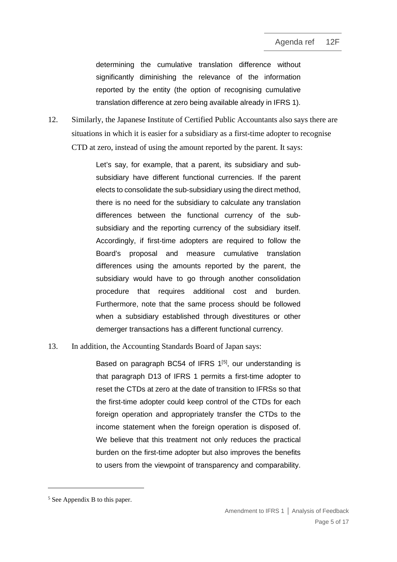determining the cumulative translation difference without significantly diminishing the relevance of the information reported by the entity (the option of recognising cumulative translation difference at zero being available already in IFRS 1).

12. Similarly, the Japanese Institute of Certified Public Accountants also says there are situations in which it is easier for a subsidiary as a first-time adopter to recognise CTD at zero, instead of using the amount reported by the parent. It says:

> Let's say, for example, that a parent, its subsidiary and subsubsidiary have different functional currencies. If the parent elects to consolidate the sub-subsidiary using the direct method, there is no need for the subsidiary to calculate any translation differences between the functional currency of the subsubsidiary and the reporting currency of the subsidiary itself. Accordingly, if first-time adopters are required to follow the Board's proposal and measure cumulative translation differences using the amounts reported by the parent, the subsidiary would have to go through another consolidation procedure that requires additional cost and burden. Furthermore, note that the same process should be followed when a subsidiary established through divestitures or other demerger transactions has a different functional currency.

13. In addition, the Accounting Standards Board of Japan says:

Based on paragraph BC54 of IFRS  $1^{[5]}$  $1^{[5]}$  $1^{[5]}$ , our understanding is that paragraph D13 of IFRS 1 permits a first-time adopter to reset the CTDs at zero at the date of transition to IFRSs so that the first-time adopter could keep control of the CTDs for each foreign operation and appropriately transfer the CTDs to the income statement when the foreign operation is disposed of. We believe that this treatment not only reduces the practical burden on the first-time adopter but also improves the benefits to users from the viewpoint of transparency and comparability.

<span id="page-4-0"></span><sup>5</sup> See Appendix B to this paper.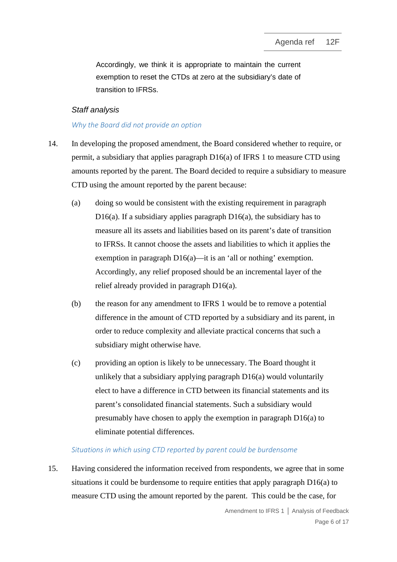Accordingly, we think it is appropriate to maintain the current exemption to reset the CTDs at zero at the subsidiary's date of transition to IFRSs.

# *Staff analysis*

## *Why the Board did not provide an option*

- 14. In developing the proposed amendment, the Board considered whether to require, or permit, a subsidiary that applies paragraph  $D16(a)$  of IFRS 1 to measure CTD using amounts reported by the parent. The Board decided to require a subsidiary to measure CTD using the amount reported by the parent because:
	- (a) doing so would be consistent with the existing requirement in paragraph D16(a). If a subsidiary applies paragraph  $D16(a)$ , the subsidiary has to measure all its assets and liabilities based on its parent's date of transition to IFRSs. It cannot choose the assets and liabilities to which it applies the exemption in paragraph D16(a)—it is an 'all or nothing' exemption. Accordingly, any relief proposed should be an incremental layer of the relief already provided in paragraph D16(a).
	- (b) the reason for any amendment to IFRS 1 would be to remove a potential difference in the amount of CTD reported by a subsidiary and its parent, in order to reduce complexity and alleviate practical concerns that such a subsidiary might otherwise have.
	- (c) providing an option is likely to be unnecessary. The Board thought it unlikely that a subsidiary applying paragraph D16(a) would voluntarily elect to have a difference in CTD between its financial statements and its parent's consolidated financial statements. Such a subsidiary would presumably have chosen to apply the exemption in paragraph D16(a) to eliminate potential differences.

#### *Situations in which using CTD reported by parent could be burdensome*

<span id="page-5-0"></span>15. Having considered the information received from respondents, we agree that in some situations it could be burdensome to require entities that apply paragraph D16(a) to measure CTD using the amount reported by the parent. This could be the case, for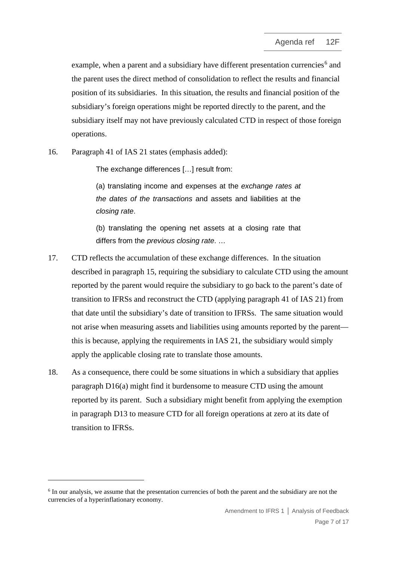example, when a parent and a subsidiary have different presentation currencies<sup>[6](#page-6-0)</sup> and the parent uses the direct method of consolidation to reflect the results and financial position of its subsidiaries. In this situation, the results and financial position of the subsidiary's foreign operations might be reported directly to the parent, and the subsidiary itself may not have previously calculated CTD in respect of those foreign operations.

16. Paragraph 41 of IAS 21 states (emphasis added):

The exchange differences […] result from:

(a) translating income and expenses at the *exchange rates at the dates of the transactions* and assets and liabilities at the *closing rate*.

(b) translating the opening net assets at a closing rate that differs from the *previous closing rate*. …

- 17. CTD reflects the accumulation of these exchange differences. In the situation described in paragraph [15,](#page-5-0) requiring the subsidiary to calculate CTD using the amount reported by the parent would require the subsidiary to go back to the parent's date of transition to IFRSs and reconstruct the CTD (applying paragraph 41 of IAS 21) from that date until the subsidiary's date of transition to IFRSs. The same situation would not arise when measuring assets and liabilities using amounts reported by the parent this is because, applying the requirements in IAS 21, the subsidiary would simply apply the applicable closing rate to translate those amounts.
- 18. As a consequence, there could be some situations in which a subsidiary that applies paragraph D16(a) might find it burdensome to measure CTD using the amount reported by its parent. Such a subsidiary might benefit from applying the exemption in paragraph D13 to measure CTD for all foreign operations at zero at its date of transition to IFRSs.

<span id="page-6-0"></span><sup>&</sup>lt;sup>6</sup> In our analysis, we assume that the presentation currencies of both the parent and the subsidiary are not the currencies of a hyperinflationary economy.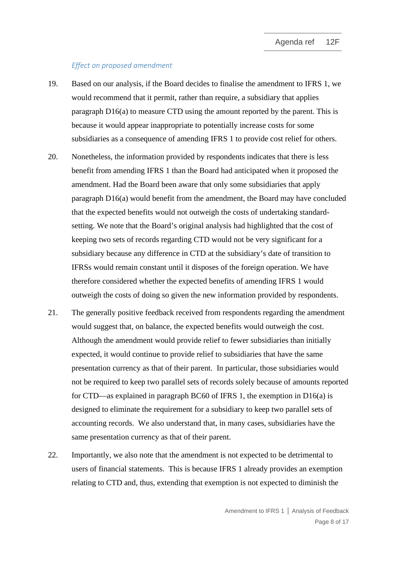#### *Effect on proposed amendment*

- 19. Based on our analysis, if the Board decides to finalise the amendment to IFRS 1, we would recommend that it permit, rather than require, a subsidiary that applies paragraph D16(a) to measure CTD using the amount reported by the parent. This is because it would appear inappropriate to potentially increase costs for some subsidiaries as a consequence of amending IFRS 1 to provide cost relief for others.
- 20. Nonetheless, the information provided by respondents indicates that there is less benefit from amending IFRS 1 than the Board had anticipated when it proposed the amendment. Had the Board been aware that only some subsidiaries that apply paragraph D16(a) would benefit from the amendment, the Board may have concluded that the expected benefits would not outweigh the costs of undertaking standardsetting. We note that the Board's original analysis had highlighted that the cost of keeping two sets of records regarding CTD would not be very significant for a subsidiary because any difference in CTD at the subsidiary's date of transition to IFRSs would remain constant until it disposes of the foreign operation. We have therefore considered whether the expected benefits of amending IFRS 1 would outweigh the costs of doing so given the new information provided by respondents.
- 21. The generally positive feedback received from respondents regarding the amendment would suggest that, on balance, the expected benefits would outweigh the cost. Although the amendment would provide relief to fewer subsidiaries than initially expected, it would continue to provide relief to subsidiaries that have the same presentation currency as that of their parent. In particular, those subsidiaries would not be required to keep two parallel sets of records solely because of amounts reported for CTD—as explained in paragraph BC60 of IFRS 1, the exemption in D16(a) is designed to eliminate the requirement for a subsidiary to keep two parallel sets of accounting records. We also understand that, in many cases, subsidiaries have the same presentation currency as that of their parent.
- 22. Importantly, we also note that the amendment is not expected to be detrimental to users of financial statements. This is because IFRS 1 already provides an exemption relating to CTD and, thus, extending that exemption is not expected to diminish the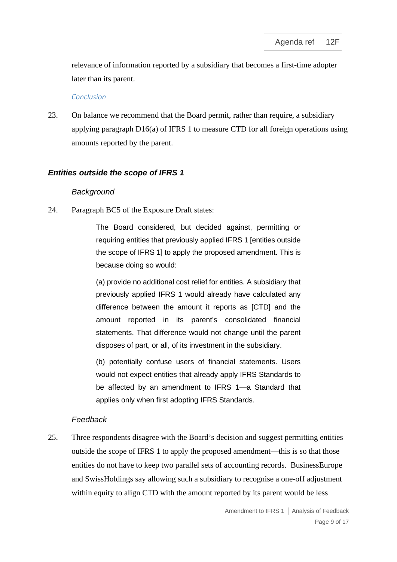relevance of information reported by a subsidiary that becomes a first-time adopter later than its parent.

#### *Conclusion*

<span id="page-8-0"></span>23. On balance we recommend that the Board permit, rather than require, a subsidiary applying paragraph D16(a) of IFRS 1 to measure CTD for all foreign operations using amounts reported by the parent.

## *Entities outside the scope of IFRS 1*

## *Background*

<span id="page-8-1"></span>24. Paragraph BC5 of the Exposure Draft states:

The Board considered, but decided against, permitting or requiring entities that previously applied IFRS 1 [entities outside the scope of IFRS 1] to apply the proposed amendment. This is because doing so would:

(a) provide no additional cost relief for entities. A subsidiary that previously applied IFRS 1 would already have calculated any difference between the amount it reports as [CTD] and the amount reported in its parent's consolidated financial statements. That difference would not change until the parent disposes of part, or all, of its investment in the subsidiary.

(b) potentially confuse users of financial statements. Users would not expect entities that already apply IFRS Standards to be affected by an amendment to IFRS 1—a Standard that applies only when first adopting IFRS Standards.

## *Feedback*

25. Three respondents disagree with the Board's decision and suggest permitting entities outside the scope of IFRS 1 to apply the proposed amendment—this is so that those entities do not have to keep two parallel sets of accounting records. BusinessEurope and SwissHoldings say allowing such a subsidiary to recognise a one-off adjustment within equity to align CTD with the amount reported by its parent would be less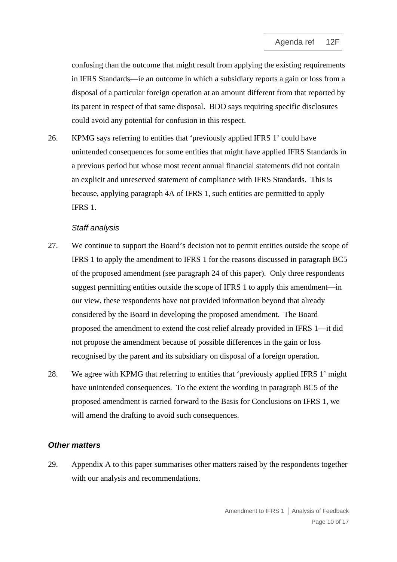confusing than the outcome that might result from applying the existing requirements in IFRS Standards—ie an outcome in which a subsidiary reports a gain or loss from a disposal of a particular foreign operation at an amount different from that reported by its parent in respect of that same disposal. BDO says requiring specific disclosures could avoid any potential for confusion in this respect.

26. KPMG says referring to entities that 'previously applied IFRS 1' could have unintended consequences for some entities that might have applied IFRS Standards in a previous period but whose most recent annual financial statements did not contain an explicit and unreserved statement of compliance with IFRS Standards. This is because, applying paragraph 4A of IFRS 1, such entities are permitted to apply IFRS 1.

#### *Staff analysis*

- 27. We continue to support the Board's decision not to permit entities outside the scope of IFRS 1 to apply the amendment to IFRS 1 for the reasons discussed in paragraph BC5 of the proposed amendment (see paragraph [24](#page-8-1) of this paper). Only three respondents suggest permitting entities outside the scope of IFRS 1 to apply this amendment—in our view, these respondents have not provided information beyond that already considered by the Board in developing the proposed amendment. The Board proposed the amendment to extend the cost relief already provided in IFRS 1—it did not propose the amendment because of possible differences in the gain or loss recognised by the parent and its subsidiary on disposal of a foreign operation.
- <span id="page-9-1"></span>28. We agree with KPMG that referring to entities that 'previously applied IFRS 1' might have unintended consequences. To the extent the wording in paragraph BC5 of the proposed amendment is carried forward to the Basis for Conclusions on IFRS 1, we will amend the drafting to avoid such consequences.

#### *Other matters*

<span id="page-9-0"></span>29. Appendix A to this paper summarises other matters raised by the respondents together with our analysis and recommendations.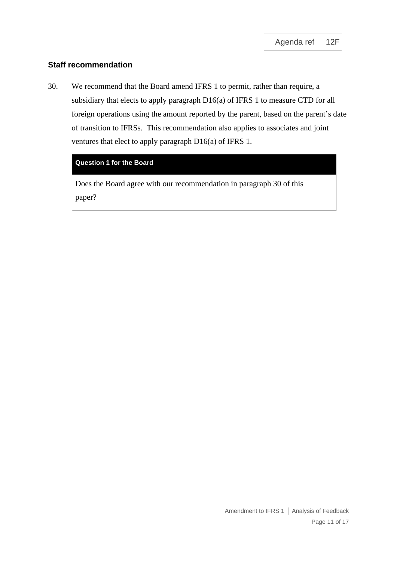# **Staff recommendation**

<span id="page-10-0"></span>30. We recommend that the Board amend IFRS 1 to permit, rather than require, a subsidiary that elects to apply paragraph D16(a) of IFRS 1 to measure CTD for all foreign operations using the amount reported by the parent, based on the parent's date of transition to IFRSs. This recommendation also applies to associates and joint ventures that elect to apply paragraph D16(a) of IFRS 1.

## **Question 1 for the Board**

Does the Board agree with our recommendation in paragraph [30](#page-10-0) of this paper?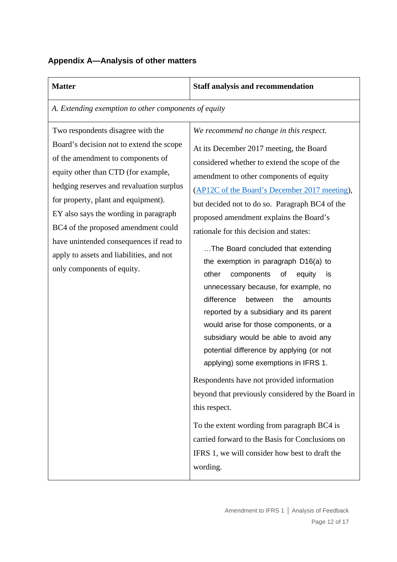# **Appendix A—Analysis of other matters**

## **Matter Staff analysis and recommendation**

*A. Extending exemption to other components of equity*

Two respondents disagree with the Board's decision not to extend the scope of the amendment to components of equity other than CTD (for example, hedging reserves and revaluation surplus for property, plant and equipment). EY also says the wording in paragraph BC4 of the proposed amendment could have unintended consequences if read to apply to assets and liabilities, and not only components of equity.

*We recommend no change in this respect.* 

At its December 2017 meeting, the Board considered whether to extend the scope of the amendment to other components of equity [\(AP12C](https://www.ifrs.org/-/media/feature/meetings/2017/december/international-accounting-standards-board/ap12c-ifrs-1.pdf) of the Board's December 2017 meeting), but decided not to do so. Paragraph BC4 of the proposed amendment explains the Board's rationale for this decision and states:

…The Board concluded that extending the exemption in paragraph D16(a) to other components of equity is unnecessary because, for example, no difference between the amounts reported by a subsidiary and its parent would arise for those components, or a subsidiary would be able to avoid any potential difference by applying (or not applying) some exemptions in IFRS 1.

Respondents have not provided information beyond that previously considered by the Board in this respect.

To the extent wording from paragraph BC4 is carried forward to the Basis for Conclusions on IFRS 1, we will consider how best to draft the wording.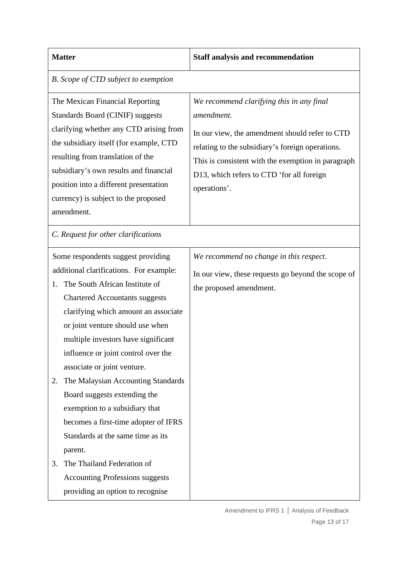## **Matter Staff analysis and recommendation**

#### *B. Scope of CTD subject to exemption*

The Mexican Financial Reporting Standards Board (CINIF) suggests clarifying whether any CTD arising from the subsidiary itself (for example, CTD resulting from translation of the subsidiary's own results and financial position into a different presentation currency) is subject to the proposed amendment.

*We recommend clarifying this in any final amendment.*

In our view, the amendment should refer to CTD relating to the subsidiary's foreign operations. This is consistent with the exemption in paragraph D13, which refers to CTD 'for all foreign operations'.

*C. Request for other clarifications* 

Some respondents suggest providing additional clarifications. For example:

- 1. The South African Institute of Chartered Accountants suggests clarifying which amount an associate or joint venture should use when multiple investors have significant influence or joint control over the associate or joint venture.
- 2. The Malaysian Accounting Standards Board suggests extending the exemption to a subsidiary that becomes a first-time adopter of IFRS Standards at the same time as its parent.
- 3. The Thailand Federation of Accounting Professions suggests providing an option to recognise

*We recommend no change in this respect.* 

In our view, these requests go beyond the scope of the proposed amendment.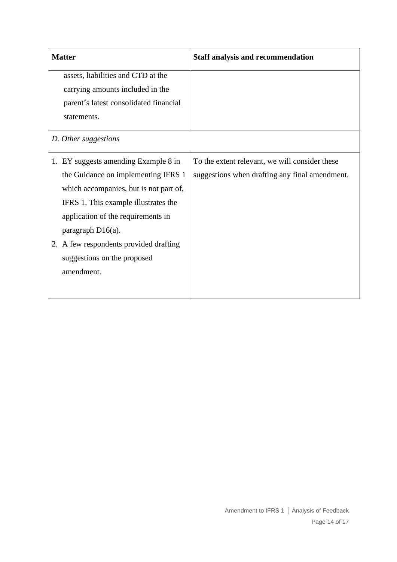| <b>Matter</b>                          |                                        | <b>Staff analysis and recommendation</b>       |
|----------------------------------------|----------------------------------------|------------------------------------------------|
|                                        | assets, liabilities and CTD at the     |                                                |
|                                        | carrying amounts included in the       |                                                |
| parent's latest consolidated financial |                                        |                                                |
| statements.                            |                                        |                                                |
| D. Other suggestions                   |                                        |                                                |
|                                        | 1. EY suggests amending Example 8 in   | To the extent relevant, we will consider these |
|                                        | the Guidance on implementing IFRS 1    | suggestions when drafting any final amendment. |
|                                        | which accompanies, but is not part of, |                                                |
|                                        | IFRS 1. This example illustrates the   |                                                |
|                                        | application of the requirements in     |                                                |
| paragraph $D16(a)$ .                   |                                        |                                                |
|                                        | 2. A few respondents provided drafting |                                                |
|                                        | suggestions on the proposed            |                                                |
| amendment.                             |                                        |                                                |
|                                        |                                        |                                                |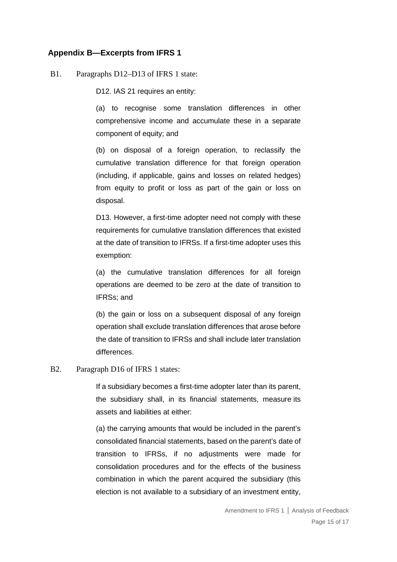## **Appendix B—Excerpts from IFRS 1**

#### B1. Paragraphs D12–D13 of IFRS 1 state:

D12. IAS 21 requires an entity:

(a) to recognise some translation differences in other comprehensive income and accumulate these in a separate component of equity; and

(b) on disposal of a foreign operation, to reclassify the cumulative translation difference for that foreign operation (including, if applicable, gains and losses on related hedges) from equity to profit or loss as part of the gain or loss on disposal.

D13. However, a [first-time adopter](https://eifrs.ifrs.org/eifrs/ViewContent?collection=2019_Issued_Standards&fn=IFRS01_APPA.html&scrollTo=IFRS01_APPA__IFRS01_P0231) need not comply with these requirements for cumulative translation differences that existed at the [date of transition to IFRSs.](https://eifrs.ifrs.org/eifrs/ViewContent?collection=2019_Issued_Standards&fn=IFRS01_APPA.html&scrollTo=IFRS01_APPA__IFRS01_P0223) If a first-time adopter uses this exemption:

(a) the cumulative translation differences for all foreign operations are deemed to be zero at the date of transition to IFRSs; and

(b) the gain or loss on a subsequent disposal of any foreign operation shall exclude translation differences that arose before the date of transition to IFRSs and shall include later translation differences.

#### B2. Paragraph D16 of IFRS 1 states:

If a subsidiary becomes a [first-time adopter](https://eifrs.ifrs.org/eifrs/ViewContent?collection=2019_Issued_Standards&fn=IFRS01_APPA.html&scrollTo=IFRS01_APPA__IFRS01_P0231) later than its parent, the subsidiary shall, in its financial statements, measure its assets and liabilities at either:

(a) the carrying amounts that would be included in the parent's consolidated financial statements, based on the parent's [date of](https://eifrs.ifrs.org/eifrs/ViewContent?collection=2019_Issued_Standards&fn=IFRS01_APPA.html&scrollTo=IFRS01_APPA__IFRS01_P0223)  [transition to IFRSs,](https://eifrs.ifrs.org/eifrs/ViewContent?collection=2019_Issued_Standards&fn=IFRS01_APPA.html&scrollTo=IFRS01_APPA__IFRS01_P0223) if no adjustments were made for consolidation procedures and for the effects of the business combination in which the parent acquired the subsidiary (this election is not available to a subsidiary of an investment entity,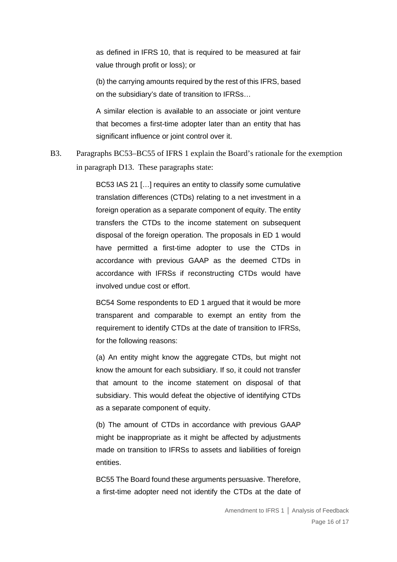as defined in [IFRS](https://eifrs.ifrs.org/eifrs/ViewContent?collection=2019_Issued_Standards&fn=IFRS10_CHK_FM.html&scrollTo=IFRS10_TOC0001) 10, that is required to be measured at fair value through profit or loss); or

(b) the carrying amounts required by the rest of this IFRS, based on the subsidiary's date of transition to IFRSs…

A similar election is available to an associate or joint venture that becomes a first-time adopter later than an entity that has significant influence or joint control over it.

B3. Paragraphs BC53–BC55 of IFRS 1 explain the Board's rationale for the exemption in paragraph D13. These paragraphs state:

> BC53 IAS 21 […] requires an entity to classify some cumulative translation differences (CTDs) relating to a net investment in a foreign operation as a separate component of equity. The entity transfers the CTDs to the income statement on subsequent disposal of the foreign operation. The proposals in ED 1 would have permitted a first-time adopter to use the CTDs in accordance with previous GAAP as the deemed CTDs in accordance with IFRSs if reconstructing CTDs would have involved undue cost or effort.

> BC54 Some respondents to ED 1 argued that it would be more transparent and comparable to exempt an entity from the requirement to identify CTDs at the date of transition to IFRSs, for the following reasons:

> (a) An entity might know the aggregate CTDs, but might not know the amount for each subsidiary. If so, it could not transfer that amount to the income statement on disposal of that subsidiary. This would defeat the objective of identifying CTDs as a separate component of equity.

> (b) The amount of CTDs in accordance with previous GAAP might be inappropriate as it might be affected by adjustments made on transition to IFRSs to assets and liabilities of foreign entities.

> BC55 The Board found these arguments persuasive. Therefore, a first-time adopter need not identify the CTDs at the date of